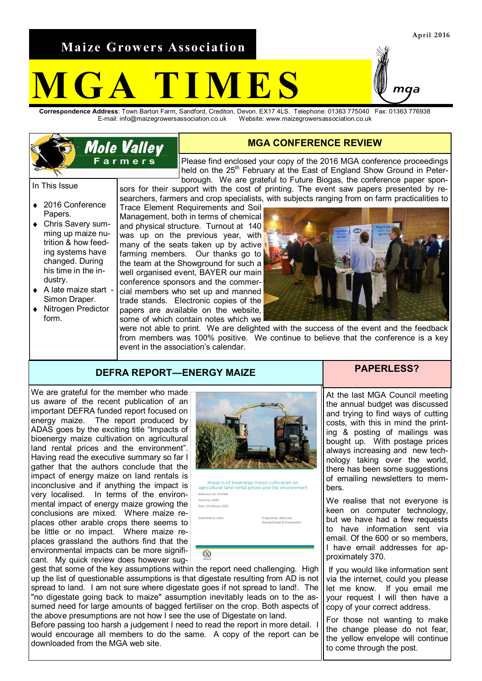**Maize Growers Association**

**Mole Valley** Farmers<sup>®</sup>

# **MES**

**Correspondence Address**: Town Barton Farm, Sandford, Crediton, Devon. EX17 4LS. Telephone: 01363 775040 Fax: 01363 776938 E-mail: info@maizegrowersassociation.co.uk Website: www.maizegrowersassociation.co.uk

### **MGA CONFERENCE REVIEW**

Please find enclosed your copy of the 2016 MGA conference proceedings held on the 25<sup>th</sup> February at the East of England Show Ground in Peterborough. We are grateful to Future Biogas, the conference paper sponsors for their support with the cost of printing. The event saw papers presented by re-

In This Issue

- ◆ 2016 Conference Papers.
- $\bullet$ Chris Savery summing up maize nutrition & how feeding systems have changed. During his time in the industry.
- A late maize start  $\bullet$ Simon Draper.
- Nitrogen Predictor  $\bullet$ form.

searchers, farmers and crop specialists, with subjects ranging from on farm practicalities to Trace Element Requirements and Soil Management, both in terms of chemical and physical structure. Turnout at 140 was up on the previous year, with

many of the seats taken up by active farming members. Our thanks go to the team at the Showground for such a well organised event. BAYER our main conference sponsors and the commercial members who set up and manned trade stands. Electronic copies of the papers are available on the website, some of which contain notes which we

were not able to print. We are delighted with the success of the event and the feedback from members was 100% positive. We continue to believe that the conference is a key event in the association's calendar.

## **DEFRA REPORT—ENERGY MAIZE PAPERLESS?**

We are grateful for the member who made us aware of the recent publication of an important DEFRA funded report focused on energy maize. The report produced by ADAS goes by the exciting title "Impacts of bioenergy maize cultivation on agricultural land rental prices and the environment". Having read the executive summary so far I gather that the authors conclude that the impact of energy maize on land rentals is inconclusive and if anything the impact is very localised. In terms of the environmental impact of energy maize growing the conclusions are mixed. Where maize replaces other arable crops there seems to be little or no impact. Where maize replaces grassland the authors find that the environmental impacts can be more significant. My quick review does however sug-



Impacts of bioenergy maize cultivation on agricultural land rental prices and the environment Reference No: SCE0405 Issued by: ADAS Date: 10 February 2016 tted to: Defra

gest that some of the key assumptions within the report need challenging. High up the list of questionable assumptions is that digestate resulting from AD is not spread to land. I am not sure where digestate goes if not spread to land!. The "no digestate going back to maize" assumption inevitably leads on to the assumed need for large amounts of bagged fertiliser on the crop. Both aspects of the above presumptions are not how I see the use of Digestate on land.

 $\overline{R}$ 

Before passing too harsh a judgement I need to read the report in more detail. I would encourage all members to do the same. A copy of the report can be downloaded from the MGA web site.

At the last MGA Council meeting the annual budget was discussed and trying to find ways of cutting costs, with this in mind the printing & posting of mailings was bought up. With postage prices always increasing and new technology taking over the world, there has been some suggestions of emailing newsletters to members.

We realise that not everyone is keen on computer technology, but we have had a few requests to have information sent via email. Of the 600 or so members, I have email addresses for approximately 370.

If you would like information sent via the internet, could you please let me know. If you email me your request I will then have a copy of your correct address.

For those not wanting to make the change please do not fear, the yellow envelope will continue to come through the post.

**April 2016**